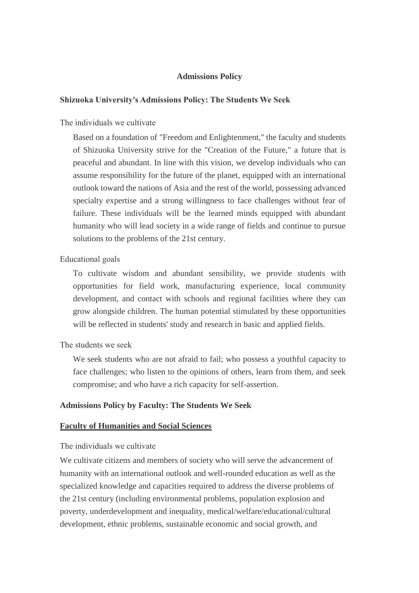### **Admissions Policy**

#### **Shizuoka University's Admissions Policy: The Students We Seek**

The individuals we cultivate

Based on a foundation of "Freedom and Enlightenment," the faculty and students of Shizuoka University strive for the "Creation of the Future," a future that is peaceful and abundant. In line with this vision, we develop individuals who can assume responsibility for the future of the planet, equipped with an international outlook toward the nations of Asia and the rest of the world, possessing advanced specialty expertise and a strong willingness to face challenges without fear of failure. These individuals will be the learned minds equipped with abundant humanity who will lead society in a wide range of fields and continue to pursue solutions to the problems of the 21st century.

#### Educational goals

To cultivate wisdom and abundant sensibility, we provide students with opportunities for field work, manufacturing experience, local community development, and contact with schools and regional facilities where they can grow alongside children. The human potential stimulated by these opportunities will be reflected in students' study and research in basic and applied fields.

### The students we seek

We seek students who are not afraid to fail; who possess a vouthful capacity to face challenges; who listen to the opinions of others, learn from them, and seek compromise; and who have a rich capacity for self-assertion.

### **Admissions Policy by Faculty: The Students We Seek**

### **Faculty of Humanities and Social Sciences**

### The individuals we cultivate

We cultivate citizens and members of society who will serve the advancement of humanity with an international outlook and well-rounded education as well as the specialized knowledge and capacities required to address the diverse problems of the 21st century (including environmental problems, population explosion and poverty, underdevelopment and inequality, medical/welfare/educational/cultural development, ethnic problems, sustainable economic and social growth, and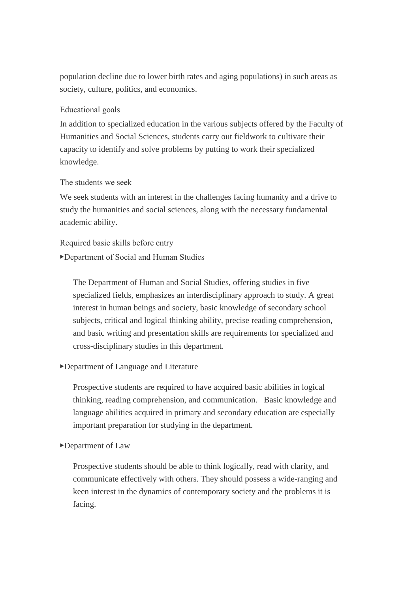population decline due to lower birth rates and aging populations) in such areas as society, culture, politics, and economics.

# Educational goals

In addition to specialized education in the various subjects offered by the Faculty of Humanities and Social Sciences, students carry out fieldwork to cultivate their capacity to identify and solve problems by putting to work their specialized knowledge.

### The students we seek

We seek students with an interest in the challenges facing humanity and a drive to study the humanities and social sciences, along with the necessary fundamental academic ability.

# Required basic skills before entry

## ▶Department of Social and Human Studies

The Department of Human and Social Studies, offering studies in five specialized fields, emphasizes an interdisciplinary approach to study. A great interest in human beings and society, basic knowledge of secondary school subjects, critical and logical thinking ability, precise reading comprehension, and basic writing and presentation skills are requirements for specialized and cross-disciplinary studies in this department.

# ▶Department of Language and Literature

Prospective students are required to have acquired basic abilities in logical thinking, reading comprehension, and communication. Basic knowledge and language abilities acquired in primary and secondary education are especially important preparation for studying in the department.

### ▶Department of Law

Prospective students should be able to think logically, read with clarity, and communicate effectively with others. They should possess a wide-ranging and keen interest in the dynamics of contemporary society and the problems it is facing.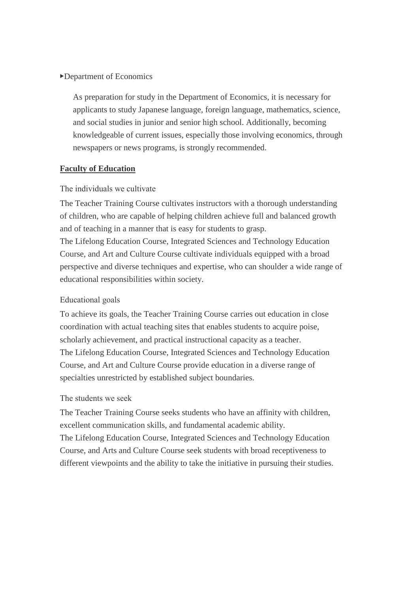## ▶Department of Economics

As preparation for study in the Department of Economics, it is necessary for applicants to study Japanese language, foreign language, mathematics, science, and social studies in junior and senior high school. Additionally, becoming knowledgeable of current issues, especially those involving economics, through newspapers or news programs, is strongly recommended.

### **Faculty of Education**

### The individuals we cultivate

educational responsibilities within society.

The Teacher Training Course cultivates instructors with a thorough understanding of children, who are capable of helping children achieve full and balanced growth and of teaching in a manner that is easy for students to grasp. The Lifelong Education Course, Integrated Sciences and Technology Education Course, and Art and Culture Course cultivate individuals equipped with a broad perspective and diverse techniques and expertise, who can shoulder a wide range of

# Educational goals

To achieve its goals, the Teacher Training Course carries out education in close coordination with actual teaching sites that enables students to acquire poise, scholarly achievement, and practical instructional capacity as a teacher. The Lifelong Education Course, Integrated Sciences and Technology Education Course, and Art and Culture Course provide education in a diverse range of specialties unrestricted by established subject boundaries.

## The students we seek

The Teacher Training Course seeks students who have an affinity with children, excellent communication skills, and fundamental academic ability. The Lifelong Education Course, Integrated Sciences and Technology Education Course, and Arts and Culture Course seek students with broad receptiveness to different viewpoints and the ability to take the initiative in pursuing their studies.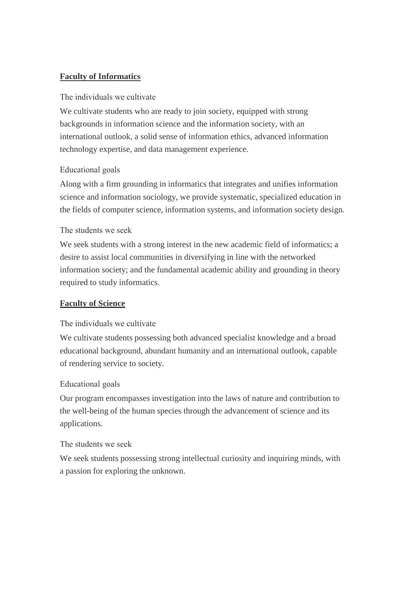# **Faculty of Informatics**

## The individuals we cultivate

We cultivate students who are ready to join society, equipped with strong backgrounds in information science and the information society, with an international outlook, a solid sense of information ethics, advanced information technology expertise, and data management experience.

# Educational goals

Along with a firm grounding in informatics that integrates and unifies information science and information sociology, we provide systematic, specialized education in the fields of computer science, information systems, and information society design.

## The students we seek

We seek students with a strong interest in the new academic field of informatics; a desire to assist local communities in diversifying in line with the networked information society; and the fundamental academic ability and grounding in theory required to study informatics.

# **Faculty of Science**

# The individuals we cultivate

We cultivate students possessing both advanced specialist knowledge and a broad educational background, abundant humanity and an international outlook, capable of rendering service to society.

# Educational goals

Our program encompasses investigation into the laws of nature and contribution to the well-being of the human species through the advancement of science and its applications.

### The students we seek

We seek students possessing strong intellectual curiosity and inquiring minds, with a passion for exploring the unknown.